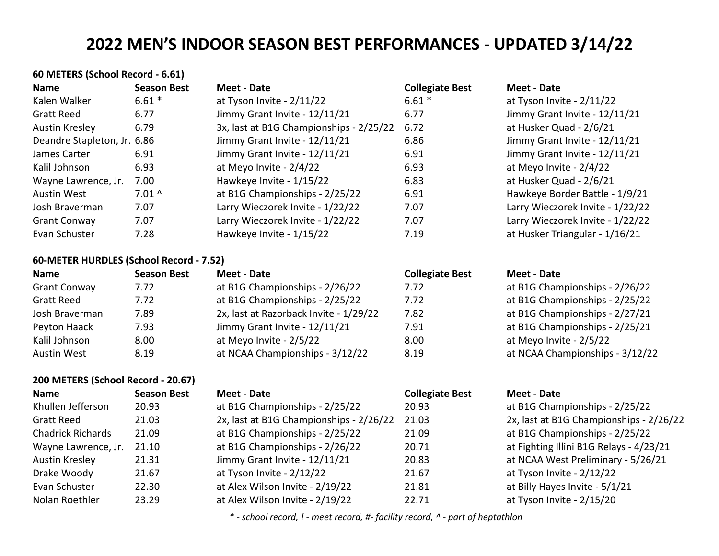| 60 METERS (School Record - 6.61)        |                    |                                         |                        |                                  |
|-----------------------------------------|--------------------|-----------------------------------------|------------------------|----------------------------------|
| <b>Name</b>                             | <b>Season Best</b> | Meet - Date                             | <b>Collegiate Best</b> | Meet - Date                      |
| Kalen Walker                            | $6.61*$            | at Tyson Invite - 2/11/22               | $6.61*$                | at Tyson Invite - 2/11/22        |
| <b>Gratt Reed</b>                       | 6.77               | Jimmy Grant Invite - 12/11/21           | 6.77                   | Jimmy Grant Invite - 12/11/21    |
| Austin Kresley                          | 6.79               | 3x, last at B1G Championships - 2/25/22 | 6.72                   | at Husker Quad - 2/6/21          |
| Deandre Stapleton, Jr. 6.86             |                    | Jimmy Grant Invite - 12/11/21           | 6.86                   | Jimmy Grant Invite - 12/11/21    |
| James Carter                            | 6.91               | Jimmy Grant Invite - 12/11/21           | 6.91                   | Jimmy Grant Invite - 12/11/21    |
| Kalil Johnson                           | 6.93               | at Meyo Invite - 2/4/22                 | 6.93                   | at Meyo Invite - $2/4/22$        |
| Wayne Lawrence, Jr.                     | 7.00               | Hawkeye Invite - 1/15/22                | 6.83                   | at Husker Quad - 2/6/21          |
| Austin West                             | $7.01^$            | at B1G Championships - 2/25/22          | 6.91                   | Hawkeye Border Battle - 1/9/21   |
| Josh Braverman                          | 7.07               | Larry Wieczorek Invite - 1/22/22        | 7.07                   | Larry Wieczorek Invite - 1/22/22 |
| <b>Grant Conway</b>                     | 7.07               | Larry Wieczorek Invite - 1/22/22        | 7.07                   | Larry Wieczorek Invite - 1/22/22 |
| Evan Schuster                           | 7.28               | Hawkeye Invite - 1/15/22                | 7.19                   | at Husker Triangular - 1/16/21   |
| 60-METER HURDLES (School Record - 7.52) |                    |                                         |                        |                                  |
| <b>Name</b>                             | <b>Season Best</b> | Meet - Date                             | <b>Collegiate Best</b> | <b>Meet - Date</b>               |
| <b>Grant Conway</b>                     | 7.72               | at B1G Championships - 2/26/22          | 7.72                   | at B1G Championships - 2/26/22   |
| <b>Gratt Reed</b>                       | 7.72               | at B1G Championships - 2/25/22          | 7.72                   | at B1G Championships - 2/25/22   |

| 1.12 | $d\bar{d}$ DIG Championships - 2/23/22 | 1.12 |
|------|----------------------------------------|------|
| 7.89 | 2x, last at Razorback Invite - 1/29/22 | 7.82 |
| 7.93 | Jimmy Grant Invite - 12/11/21          | 7.91 |
| 8.00 | at Meyo Invite - 2/5/22                | 8.00 |
| 8.19 | at NCAA Championships - 3/12/22        | 8.19 |
|      |                                        |      |

### **200 METERS (School Record - 20.67)**

| <b>Name</b>              | <b>Season Best</b> | Meet - Date                             | <b>Collegiate Best</b> | Meet - Date                             |
|--------------------------|--------------------|-----------------------------------------|------------------------|-----------------------------------------|
| Khullen Jefferson        | 20.93              | at B1G Championships - 2/25/22          | 20.93                  | at B1G Championships - 2/25/22          |
| <b>Gratt Reed</b>        | 21.03              | 2x, last at B1G Championships - 2/26/22 | 21.03                  | 2x, last at B1G Championships - 2/26/22 |
| <b>Chadrick Richards</b> | 21.09              | at B1G Championships - 2/25/22          | 21.09                  | at B1G Championships - 2/25/22          |
| Wayne Lawrence, Jr.      | 21.10              | at B1G Championships - 2/26/22          | 20.71                  | at Fighting Illini B1G Relays - 4/23/21 |
| Austin Kresley           | 21.31              | Jimmy Grant Invite - 12/11/21           | 20.83                  | at NCAA West Preliminary - 5/26/21      |
| Drake Woody              | 21.67              | at Tyson Invite - 2/12/22               | 21.67                  | at Tyson Invite - 2/12/22               |
| Evan Schuster            | 22.30              | at Alex Wilson Invite - 2/19/22         | 21.81                  | at Billy Hayes Invite - 5/1/21          |
| Nolan Roethler           | 23.29              | at Alex Wilson Invite - 2/19/22         | 22.71                  | at Tyson Invite - 2/15/20               |

# at Meyo Invite - 2/5/22 at NCAA Championships - 3/12/22

at B1G Championships - 2/27/21 at B1G Championships - 2/25/21

| ivieel - Dale                           |
|-----------------------------------------|
| at B1G Championships - 2/25/22          |
| 2x, last at B1G Championships - 2/26/22 |
| at B1G Championships - 2/25/22          |
| at Fighting Illini B1G Relays - 4/23/21 |
| at NCAA West Preliminary - 5/26/21      |
| at Tyson Invite - 2/12/22               |
| at Billy Hayes Invite - 5/1/21          |
| at Tyson Invite - 2/15/20               |
|                                         |

*\* - school record, ! - meet record, #- facility record, ^ - part of heptathlon*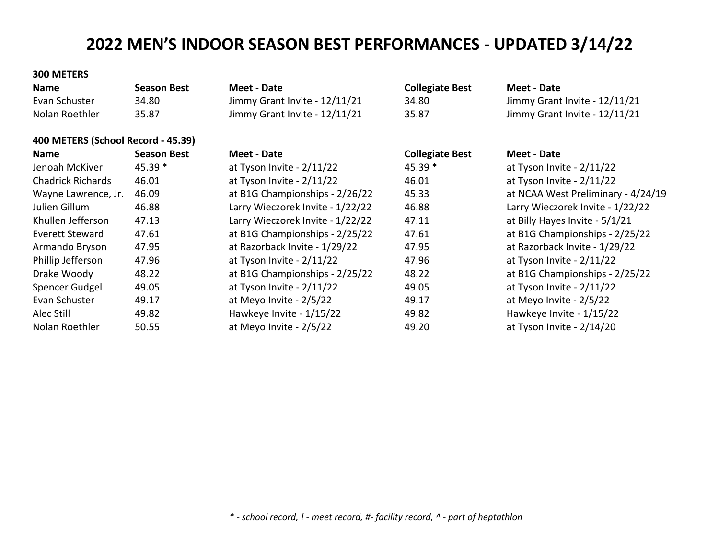#### **300 METERS**

| <b>Name</b>    | <b>Season Best</b> | Meet - Date                   | <b>Collegiate Best</b> | Meet - Date                   |
|----------------|--------------------|-------------------------------|------------------------|-------------------------------|
| Evan Schuster  | 34.80              | Jimmy Grant Invite - 12/11/21 | 34.80                  | Jimmy Grant Invite - 12/11/21 |
| Nolan Roethler | 35.87              | Jimmy Grant Invite - 12/11/21 | 35.87                  | Jimmy Grant Invite - 12/11/21 |

# **400 METERS (School Record - 45.39)**

| <b>Name</b>              | <b>Season Best</b> | Meet - Date                      | <b>Collegiate Best</b> | <b>Meet - Date</b>                 |
|--------------------------|--------------------|----------------------------------|------------------------|------------------------------------|
| Jenoah McKiver           | 45.39 *            | at Tyson Invite - 2/11/22        | 45.39 *                | at Tyson Invite - $2/11/22$        |
| <b>Chadrick Richards</b> | 46.01              | at Tyson Invite - 2/11/22        | 46.01                  | at Tyson Invite - $2/11/22$        |
| Wayne Lawrence, Jr.      | 46.09              | at B1G Championships - 2/26/22   | 45.33                  | at NCAA West Preliminary - 4/24/19 |
| Julien Gillum            | 46.88              | Larry Wieczorek Invite - 1/22/22 | 46.88                  | Larry Wieczorek Invite - 1/22/22   |
| Khullen Jefferson        | 47.13              | Larry Wieczorek Invite - 1/22/22 | 47.11                  | at Billy Hayes Invite - 5/1/21     |
| Everett Steward          | 47.61              | at B1G Championships - 2/25/22   | 47.61                  | at B1G Championships - 2/25/22     |
| Armando Bryson           | 47.95              | at Razorback Invite - 1/29/22    | 47.95                  | at Razorback Invite - 1/29/22      |
| Phillip Jefferson        | 47.96              | at Tyson Invite - 2/11/22        | 47.96                  | at Tyson Invite - $2/11/22$        |
| Drake Woody              | 48.22              | at B1G Championships - 2/25/22   | 48.22                  | at B1G Championships - 2/25/22     |
| Spencer Gudgel           | 49.05              | at Tyson Invite - 2/11/22        | 49.05                  | at Tyson Invite - 2/11/22          |
| Evan Schuster            | 49.17              | at Meyo Invite - 2/5/22          | 49.17                  | at Meyo Invite - 2/5/22            |
| Alec Still               | 49.82              | Hawkeye Invite - 1/15/22         | 49.82                  | Hawkeye Invite - 1/15/22           |
| Nolan Roethler           | 50.55              | at Meyo Invite - 2/5/22          | 49.20                  | at Tyson Invite - 2/14/20          |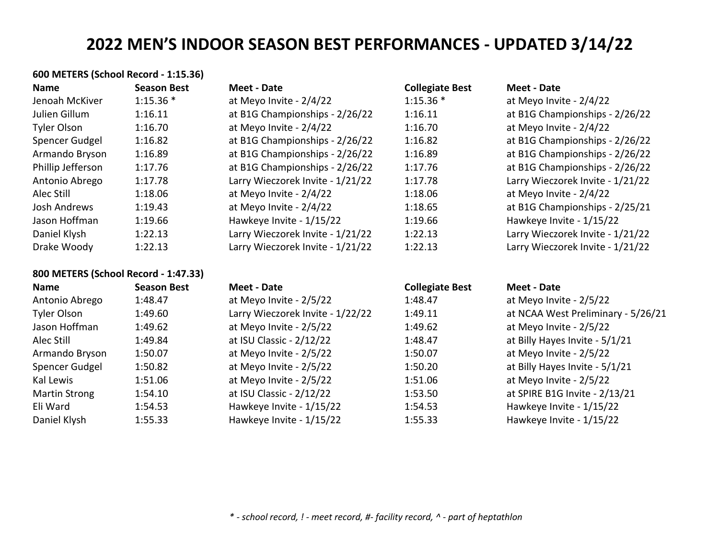# **600 METERS (School Record - 1:15.36)**

| <b>Name</b>                          | <b>Season Best</b> | <b>Meet - Date</b>               | <b>Collegiate Best</b> | <b>Meet - Date</b>                 |
|--------------------------------------|--------------------|----------------------------------|------------------------|------------------------------------|
| Jenoah McKiver                       | $1:15.36*$         | at Meyo Invite - 2/4/22          | $1:15.36*$             | at Meyo Invite - 2/4/22            |
| Julien Gillum                        | 1:16.11            | at B1G Championships - 2/26/22   | 1:16.11                | at B1G Championships - 2/26/22     |
| Tyler Olson                          | 1:16.70            | at Meyo Invite - 2/4/22          | 1:16.70                | at Meyo Invite - 2/4/22            |
| Spencer Gudgel                       | 1:16.82            | at B1G Championships - 2/26/22   | 1:16.82                | at B1G Championships - 2/26/22     |
| Armando Bryson                       | 1:16.89            | at B1G Championships - 2/26/22   | 1:16.89                | at B1G Championships - 2/26/22     |
| Phillip Jefferson                    | 1:17.76            | at B1G Championships - 2/26/22   | 1:17.76                | at B1G Championships - 2/26/22     |
| Antonio Abrego                       | 1:17.78            | Larry Wieczorek Invite - 1/21/22 | 1:17.78                | Larry Wieczorek Invite - 1/21/22   |
| Alec Still                           | 1:18.06            | at Meyo Invite - 2/4/22          | 1:18.06                | at Meyo Invite - 2/4/22            |
| Josh Andrews                         | 1:19.43            | at Meyo Invite - 2/4/22          | 1:18.65                | at B1G Championships - 2/25/21     |
| Jason Hoffman                        | 1:19.66            | Hawkeye Invite - 1/15/22         | 1:19.66                | Hawkeye Invite - 1/15/22           |
| Daniel Klysh                         | 1:22.13            | Larry Wieczorek Invite - 1/21/22 | 1:22.13                | Larry Wieczorek Invite - 1/21/22   |
| Drake Woody                          | 1:22.13            | Larry Wieczorek Invite - 1/21/22 | 1:22.13                | Larry Wieczorek Invite - 1/21/22   |
| 800 METERS (School Record - 1:47.33) |                    |                                  |                        |                                    |
| <b>Name</b>                          | <b>Season Best</b> | <b>Meet - Date</b>               | <b>Collegiate Best</b> | <b>Meet - Date</b>                 |
| Antonio Abrego                       | 1:48.47            | at Meyo Invite - 2/5/22          | 1:48.47                | at Meyo Invite - 2/5/22            |
| Tyler Olson                          | 1:49.60            | Larry Wieczorek Invite - 1/22/22 | 1:49.11                | at NCAA West Preliminary - 5/26/21 |
| Jason Hoffman                        | 1:49.62            | at Meyo Invite - 2/5/22          | 1:49.62                | at Meyo Invite - 2/5/22            |
| Alec Still                           | 1:49.84            | at ISU Classic - 2/12/22         | 1:48.47                | at Billy Hayes Invite - 5/1/21     |
| Armando Bryson                       | 1:50.07            | at Meyo Invite - 2/5/22          | 1:50.07                | at Meyo Invite - 2/5/22            |
| Spencer Gudgel                       | 1:50.82            | at Meyo Invite - 2/5/22          | 1:50.20                | at Billy Hayes Invite - 5/1/21     |
| Kal Lewis                            | 1:51.06            | at Meyo Invite - 2/5/22          | 1:51.06                | at Meyo Invite - 2/5/22            |
| <b>Martin Strong</b>                 | 1:54.10            | at ISU Classic - 2/12/22         | 1:53.50                | at SPIRE B1G Invite - 2/13/21      |
| Eli Ward                             | 1:54.53            | Hawkeye Invite - 1/15/22         | 1:54.53                | Hawkeye Invite - 1/15/22           |
| Daniel Klysh                         | 1:55.33            | Hawkeye Invite - 1/15/22         | 1:55.33                | Hawkeye Invite - 1/15/22           |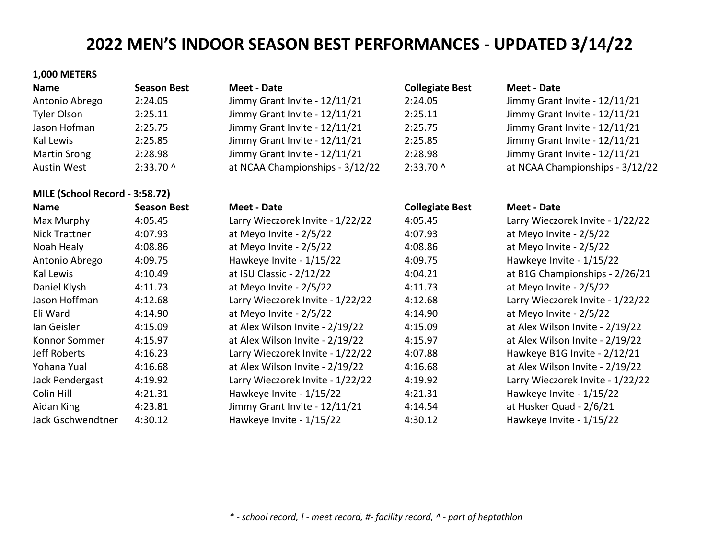**Name Season Best Meet - Date Collegiate Best Meet - Date**

Antonio Abrego 2:24.05 Jimmy Grant Invite - 12/11/21 2:24.05 Jimmy Grant Invite - 12/11/21 2:25.11 Jimmy Grant Invite - 12/11/21 2:25.75 Jimmy Grant Invite - 12/11/21 2:25.85 Jimmy Grant Invite - 12/11/21 2:28.98 Jimmy Grant Invite - 12/11/21 2:33.70 ^ at NCAA Championships - 3/12/22

#### **1,000 METERS**

| <b>Name</b>         | <b>Season Best</b> | <b>Meet - Date</b>              |
|---------------------|--------------------|---------------------------------|
| Antonio Abrego      | 2:24.05            | Jimmy Grant Invite - 12/11/21   |
| <b>Tyler Olson</b>  | 2:25.11            | Jimmy Grant Invite - 12/11/21   |
| Jason Hofman        | 2:25.75            | Jimmy Grant Invite - 12/11/21   |
| Kal Lewis           | 2:25.85            | Jimmy Grant Invite - 12/11/21   |
| <b>Martin Srong</b> | 2:28.98            | Jimmy Grant Invite - 12/11/21   |
| <b>Austin West</b>  | 2:33.70 ^          | at NCAA Championships - 3/12/22 |

#### **MILE (School Record - 3:58.72)**

| <b>Name</b>       | <b>Season Best</b> | Meet - Date                      | <b>Collegiate Best</b> | Meet - Date                      |
|-------------------|--------------------|----------------------------------|------------------------|----------------------------------|
| Max Murphy        | 4:05.45            | Larry Wieczorek Invite - 1/22/22 | 4:05.45                | Larry Wieczorek Invite - 1/22/22 |
| Nick Trattner     | 4:07.93            | at Meyo Invite - 2/5/22          | 4:07.93                | at Meyo Invite - 2/5/22          |
| Noah Healy        | 4:08.86            | at Meyo Invite - 2/5/22          | 4:08.86                | at Meyo Invite - 2/5/22          |
| Antonio Abrego    | 4:09.75            | Hawkeye Invite - 1/15/22         | 4:09.75                | Hawkeye Invite - 1/15/22         |
| Kal Lewis         | 4:10.49            | at ISU Classic - 2/12/22         | 4:04.21                | at B1G Championships - 2/26/21   |
| Daniel Klysh      | 4:11.73            | at Meyo Invite - 2/5/22          | 4:11.73                | at Meyo Invite - 2/5/22          |
| Jason Hoffman     | 4:12.68            | Larry Wieczorek Invite - 1/22/22 | 4:12.68                | Larry Wieczorek Invite - 1/22/22 |
| Eli Ward          | 4:14.90            | at Meyo Invite - 2/5/22          | 4:14.90                | at Meyo Invite - 2/5/22          |
| lan Geisler       | 4:15.09            | at Alex Wilson Invite - 2/19/22  | 4:15.09                | at Alex Wilson Invite - 2/19/22  |
| Konnor Sommer     | 4:15.97            | at Alex Wilson Invite - 2/19/22  | 4:15.97                | at Alex Wilson Invite - 2/19/22  |
| Jeff Roberts      | 4:16.23            | Larry Wieczorek Invite - 1/22/22 | 4:07.88                | Hawkeye B1G Invite - 2/12/21     |
| Yohana Yual       | 4:16.68            | at Alex Wilson Invite - 2/19/22  | 4:16.68                | at Alex Wilson Invite - 2/19/22  |
| Jack Pendergast   | 4:19.92            | Larry Wieczorek Invite - 1/22/22 | 4:19.92                | Larry Wieczorek Invite - 1/22/22 |
| Colin Hill        | 4:21.31            | Hawkeye Invite - 1/15/22         | 4:21.31                | Hawkeye Invite - 1/15/22         |
| Aidan King        | 4:23.81            | Jimmy Grant Invite - 12/11/21    | 4:14.54                | at Husker Quad - 2/6/21          |
| Jack Gschwendtner | 4:30.12            | Hawkeye Invite - 1/15/22         | 4:30.12                | Hawkeye Invite - 1/15/22         |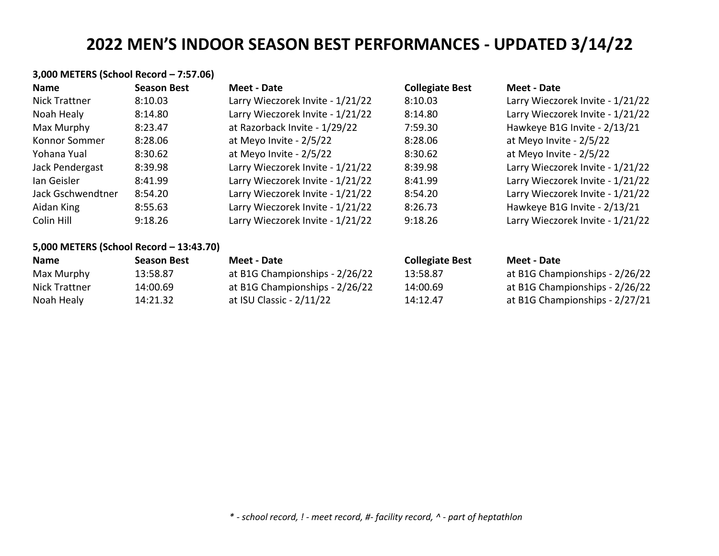# **3,000 METERS (School Record – 7:57.06)**

| <b>Name</b>       | <b>Season Best</b> | Meet - Date                      | <b>Collegiate Best</b> | Meet - Date                      |
|-------------------|--------------------|----------------------------------|------------------------|----------------------------------|
| Nick Trattner     | 8:10.03            | Larry Wieczorek Invite - 1/21/22 | 8:10.03                | Larry Wieczorek Invite - 1/21/22 |
| Noah Healy        | 8:14.80            | Larry Wieczorek Invite - 1/21/22 | 8:14.80                | Larry Wieczorek Invite - 1/21/22 |
| Max Murphy        | 8:23.47            | at Razorback Invite - 1/29/22    | 7:59.30                | Hawkeye B1G Invite - 2/13/21     |
| Konnor Sommer     | 8:28.06            | at Meyo Invite - 2/5/22          | 8:28.06                | at Meyo Invite - 2/5/22          |
| Yohana Yual       | 8:30.62            | at Meyo Invite - 2/5/22          | 8:30.62                | at Meyo Invite - 2/5/22          |
| Jack Pendergast   | 8:39.98            | Larry Wieczorek Invite - 1/21/22 | 8:39.98                | Larry Wieczorek Invite - 1/21/22 |
| lan Geisler       | 8:41.99            | Larry Wieczorek Invite - 1/21/22 | 8:41.99                | Larry Wieczorek Invite - 1/21/22 |
| Jack Gschwendtner | 8:54.20            | Larry Wieczorek Invite - 1/21/22 | 8:54.20                | Larry Wieczorek Invite - 1/21/22 |
| Aidan King        | 8:55.63            | Larry Wieczorek Invite - 1/21/22 | 8:26.73                | Hawkeye B1G Invite - 2/13/21     |
| Colin Hill        | 9:18.26            | Larry Wieczorek Invite - 1/21/22 | 9:18.26                | Larry Wieczorek Invite - 1/21/22 |

## **5,000 METERS (School Record – 13:43.70)**

| <b>Name</b>   | Season Best | Meet - Date                    | <b>Collegiate Best</b> | Meet - Date                    |
|---------------|-------------|--------------------------------|------------------------|--------------------------------|
| Max Murphy    | 13:58.87    | at B1G Championships - 2/26/22 | 13:58.87               | at B1G Championships - 2/26/22 |
| Nick Trattner | 14:00.69    | at B1G Championships - 2/26/22 | 14:00.69               | at B1G Championships - 2/26/22 |
| Noah Healy    | 14:21.32    | at ISU Classic - 2/11/22       | 14:12.47               | at B1G Championships - 2/27/21 |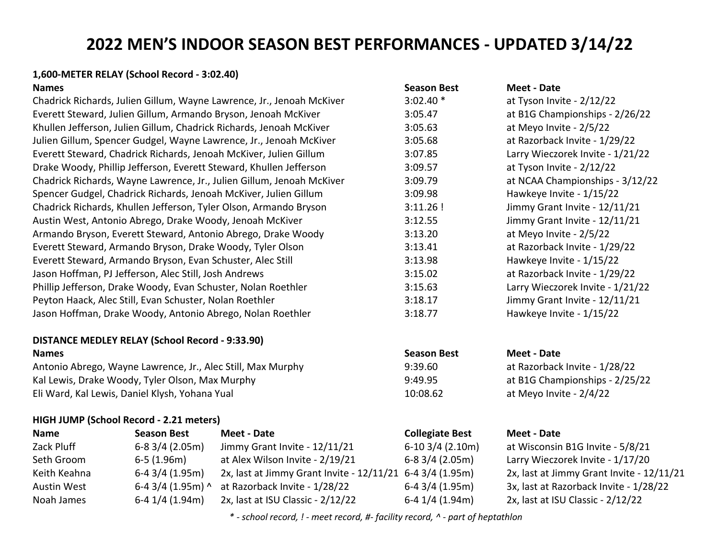#### **1,600-METER RELAY (School Record - 3:02.40)**

# **DISTANCE MEDLEY RELAY (School Record - 9:33.90)**

Antonio Abrego, Wayne Lawrence, Jr., Alec Still, Max Murphy 9:39.60 at Razorback Invite - 1/28/22 Kal Lewis, Drake Woody, Tyler Olson, Max Murphy 8:49.95 9:49.95 at B1G Championships - 2/25/22 Eli Ward, Kal Lewis, Daniel Klysh, Yohana Yual 10:08.62 at Meyo Invite - 2/4/22

#### **HIGH JUMP (School Record - 2.21 meters)**

| <b>Name</b>        | <b>Season Best</b>  | Meet - Date                                               | <b>Collegiate Best</b> | <b>Meet - Date</b> |
|--------------------|---------------------|-----------------------------------------------------------|------------------------|--------------------|
| Zack Pluff         | $6-83/4(2.05m)$     | Jimmy Grant Invite - 12/11/21                             | $6-103/4$ (2.10m)      | at Wisconsir       |
| Seth Groom         | $6-5(1.96m)$        | at Alex Wilson Invite - 2/19/21                           | $6-8$ 3/4 (2.05m)      | Larry Wieczo       |
| Keith Keahna       | $6-43/4(1.95m)$     | 2x, last at Jimmy Grant Invite - 12/11/21 6-4 3/4 (1.95m) |                        | 2x, last at Jir    |
| <b>Austin West</b> | 6-4 $3/4$ (1.95m) ^ | at Razorback Invite - 1/28/22                             | $6-4$ 3/4 (1.95m)      | 3x, last at Ra     |
| Noah James         | $6-4$ 1/4 (1.94m)   | 2x, last at ISU Classic - 2/12/22                         | $6-4$ 1/4 (1.94m)      | 2x, last at IS     |

| <b>Names</b>                                                          | <b>Season Best</b> | Meet - Date                      |
|-----------------------------------------------------------------------|--------------------|----------------------------------|
| Chadrick Richards, Julien Gillum, Wayne Lawrence, Jr., Jenoah McKiver | $3:02.40*$         | at Tyson Invite - $2/12/22$      |
| Everett Steward, Julien Gillum, Armando Bryson, Jenoah McKiver        | 3:05.47            | at B1G Championships - 2/26/22   |
| Khullen Jefferson, Julien Gillum, Chadrick Richards, Jenoah McKiver   | 3:05.63            | at Meyo Invite - 2/5/22          |
| Julien Gillum, Spencer Gudgel, Wayne Lawrence, Jr., Jenoah McKiver    | 3:05.68            | at Razorback Invite - 1/29/22    |
| Everett Steward, Chadrick Richards, Jenoah McKiver, Julien Gillum     | 3:07.85            | Larry Wieczorek Invite - 1/21/22 |
| Drake Woody, Phillip Jefferson, Everett Steward, Khullen Jefferson    | 3:09.57            | at Tyson Invite - 2/12/22        |
| Chadrick Richards, Wayne Lawrence, Jr., Julien Gillum, Jenoah McKiver | 3:09.79            | at NCAA Championships - 3/12/22  |
| Spencer Gudgel, Chadrick Richards, Jenoah McKiver, Julien Gillum      | 3:09.98            | Hawkeye Invite - 1/15/22         |
| Chadrick Richards, Khullen Jefferson, Tyler Olson, Armando Bryson     | $3:11.26$ !        | Jimmy Grant Invite - 12/11/21    |
| Austin West, Antonio Abrego, Drake Woody, Jenoah McKiver              | 3:12.55            | Jimmy Grant Invite - 12/11/21    |
| Armando Bryson, Everett Steward, Antonio Abrego, Drake Woody          | 3:13.20            | at Meyo Invite - 2/5/22          |
| Everett Steward, Armando Bryson, Drake Woody, Tyler Olson             | 3:13.41            | at Razorback Invite - 1/29/22    |
| Everett Steward, Armando Bryson, Evan Schuster, Alec Still            | 3:13.98            | Hawkeye Invite - 1/15/22         |
| Jason Hoffman, PJ Jefferson, Alec Still, Josh Andrews                 | 3:15.02            | at Razorback Invite - 1/29/22    |
| Phillip Jefferson, Drake Woody, Evan Schuster, Nolan Roethler         | 3:15.63            | Larry Wieczorek Invite - 1/21/22 |
| Peyton Haack, Alec Still, Evan Schuster, Nolan Roethler               | 3:18.17            | Jimmy Grant Invite - 12/11/21    |
| Jason Hoffman, Drake Woody, Antonio Abrego, Nolan Roethler            | 3:18.77            | Hawkeye Invite - 1/15/22         |

# **Names Season Best Meet - Date**

at Wisconsin B1G Invite - 5/8/21 Larry Wieczorek Invite - 1/17/20 2x, last at Jimmy Grant Invite - 12/11/21 3x, last at Razorback Invite - 1/28/22 2x, last at ISU Classic - 2/12/22

*\* - school record, ! - meet record, #- facility record, ^ - part of heptathlon*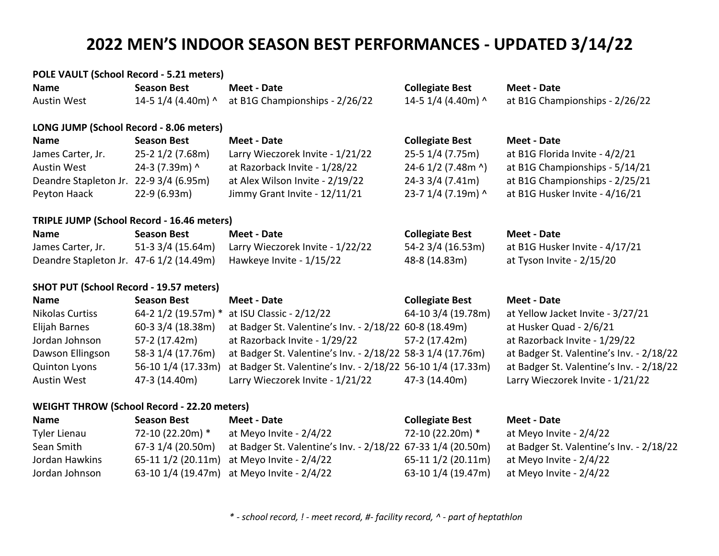#### **POLE VAULT (School Record - 5.21 meters)**

| <b>Name</b>                                       | <b>Season Best</b> | Meet - Date                      | <b>Collegiate Best</b> | <b>Meet - Date</b>             |
|---------------------------------------------------|--------------------|----------------------------------|------------------------|--------------------------------|
| <b>Austin West</b>                                | 14-5 1/4 (4.40m) ^ | at B1G Championships - 2/26/22   | 14-5 1/4 (4.40m) ^     | at B1G Championships - 2/26/22 |
| LONG JUMP (School Record - 8.06 meters)           |                    |                                  |                        |                                |
| <b>Name</b>                                       | <b>Season Best</b> | <b>Meet - Date</b>               | <b>Collegiate Best</b> | <b>Meet - Date</b>             |
| James Carter, Jr.                                 | 25-2 1/2 (7.68m)   | Larry Wieczorek Invite - 1/21/22 | 25-5 1/4 (7.75m)       | at B1G Florida Invite - 4/2/21 |
| <b>Austin West</b>                                | 24-3 (7.39m) ^     | at Razorback Invite - 1/28/22    | 24-6 1/2 (7.48m ^)     | at B1G Championships - 5/14/21 |
| Deandre Stapleton Jr. 22-9 3/4 (6.95m)            |                    | at Alex Wilson Invite - 2/19/22  | 24-3 3/4 (7.41m)       | at B1G Championships - 2/25/21 |
| Peyton Haack                                      | $22-9(6.93m)$      | Jimmy Grant Invite - 12/11/21    | 23-7 1/4 (7.19m) ^     | at B1G Husker Invite - 4/16/21 |
| <b>TRIPLE JUMP (School Record - 16.46 meters)</b> |                    |                                  |                        |                                |
| <b>Name</b>                                       | <b>Season Best</b> | <b>Meet - Date</b>               | <b>Collegiate Best</b> | <b>Meet - Date</b>             |
| James Carter, Jr.                                 | 51-3 3/4 (15.64m)  | Larry Wieczorek Invite - 1/22/22 | 54-2 3/4 (16.53m)      | at B1G Husker Invite - 4/17/21 |
| Deandre Stapleton Jr. 47-6 1/2 (14.49m)           |                    | Hawkeye Invite - 1/15/22         | 48-8 (14.83m)          | at Tyson Invite - 2/15/20      |

#### **SHOT PUT (School Record - 19.57 meters)**

| <b>Name</b>          | <b>Season Best</b>  | Meet - Date                                                 | <b>Collegiate Best</b> | Meet - Date                              |
|----------------------|---------------------|-------------------------------------------------------------|------------------------|------------------------------------------|
| Nikolas Curtiss      | 64-2 1/2 (19.57m) * | at ISU Classic - 2/12/22                                    | 64-10 3/4 (19.78m)     | at Yellow Jacket Invite - 3/27/21        |
| Elijah Barnes        | 60-3 3/4 (18.38m)   | at Badger St. Valentine's Inv. - 2/18/22 60-8 (18.49m)      |                        | at Husker Quad - 2/6/21                  |
| Jordan Johnson       | 57-2 (17.42m)       | at Razorback Invite - 1/29/22                               | 57-2 (17.42m)          | at Razorback Invite - 1/29/22            |
| Dawson Ellingson     | 58-3 1/4 (17.76m)   | at Badger St. Valentine's Inv. - 2/18/22 58-3 1/4 (17.76m)  |                        | at Badger St. Valentine's Inv. - 2/18/22 |
| <b>Quinton Lyons</b> | 56-10 1/4 (17.33m)  | at Badger St. Valentine's Inv. - 2/18/22 56-10 1/4 (17.33m) |                        | at Badger St. Valentine's Inv. - 2/18/22 |
| <b>Austin West</b>   | 47-3 (14.40m)       | Larry Wieczorek Invite - 1/21/22                            | 47-3 (14.40m)          | Larry Wieczorek Invite - 1/21/22         |

## **WEIGHT THROW (School Record - 22.20 meters)**

| <b>Name</b>    | <b>Season Best</b> | <b>Meet - Date</b>                                          | <b>Collegiate Best</b> | Meet - Date                              |
|----------------|--------------------|-------------------------------------------------------------|------------------------|------------------------------------------|
| Tyler Lienau   | 72-10 (22.20m) *   | at Meyo Invite - 2/4/22                                     | 72-10 (22.20m) *       | at Meyo Invite - 2/4/22                  |
| Sean Smith     | 67-3 1/4 (20.50m)  | at Badger St. Valentine's Inv. - 2/18/22 67-33 1/4 (20.50m) |                        | at Badger St. Valentine's Inv. - 2/18/22 |
| Jordan Hawkins |                    | 65-11 $1/2$ (20.11m) at Meyo Invite - $2/4/22$              | 65-11 1/2 (20.11m)     | at Meyo Invite - 2/4/22                  |
| Jordan Johnson |                    | 63-10 1/4 (19.47m) at Meyo Invite - 2/4/22                  | 63-10 1/4 (19.47m)     | at Meyo Invite - 2/4/22                  |